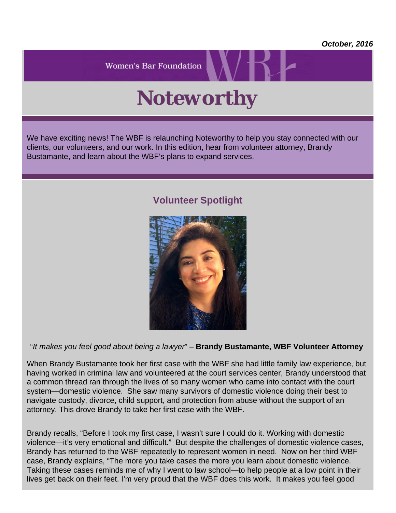*October, 2016*

**Women's Bar Foundation** 

## *Noteworthy*

We have exciting news! The WBF is relaunching Noteworthy to help you stay connected with our clients, our volunteers, and our work. In this edition, hear from volunteer attorney, Brandy Bustamante, and learn about the WBF's plans to expand services.

## **Volunteer Spotlight**



"*It makes you feel good about being a lawyer*" – **Brandy Bustamante, WBF Volunteer Attorney**

When Brandy Bustamante took her first case with the WBF she had little family law experience, but having worked in criminal law and volunteered at the court services center, Brandy understood that a common thread ran through the lives of so many women who came into contact with the court system—domestic violence. She saw many survivors of domestic violence doing their best to navigate custody, divorce, child support, and protection from abuse without the support of an attorney. This drove Brandy to take her first case with the WBF.

Brandy recalls, "Before I took my first case, I wasn't sure I could do it. Working with domestic violence—it's very emotional and difficult." But despite the challenges of domestic violence cases, Brandy has returned to the WBF repeatedly to represent women in need. Now on her third WBF case, Brandy explains, "The more you take cases the more you learn about domestic violence. Taking these cases reminds me of why I went to law school—to help people at a low point in their lives get back on their feet. I'm very proud that the WBF does this work. It makes you feel good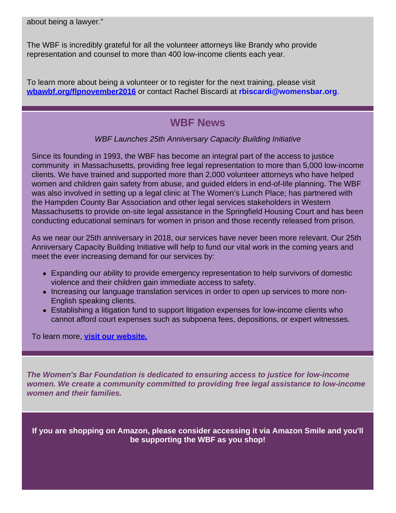about being a lawyer."

The WBF is incredibly grateful for all the volunteer attorneys like Brandy who provide representation and counsel to more than 400 low-income clients each year.

To learn more about being a volunteer or to register for the next training, please visit **[wbawbf.org/flpnovember2016](file:///C|/Users/mbastarache/Desktop/wbawbf.org/flpnovember2016)** or contact Rachel Biscardi at **rbiscardi@womensbar.org**.

## **WBF News**

## *WBF Launches 25th Anniversary Capacity Building Initiative*

Since its founding in 1993, the WBF has become an integral part of the access to justice community in Massachusetts, providing free legal representation to more than 5,000 low-income clients. We have trained and supported more than 2,000 volunteer attorneys who have helped women and children gain safety from abuse, and guided elders in end-of-life planning. The WBF was also involved in setting up a legal clinic at The Women's Lunch Place; has partnered with the Hampden County Bar Association and other legal services stakeholders in Western Massachusetts to provide on-site legal assistance in the Springfield Housing Court and has been conducting educational seminars for women in prison and those recently released from prison.

As we near our 25th anniversary in 2018, our services have never been more relevant. Our 25th Anniversary Capacity Building Initiative will help to fund our vital work in the coming years and meet the ever increasing demand for our services by:

- Expanding our ability to provide emergency representation to help survivors of domestic violence and their children gain immediate access to safety.
- Increasing our language translation services in order to open up services to more non-English speaking clients.
- Establishing a litigation fund to support litigation expenses for low-income clients who cannot afford court expenses such as subpoena fees, depositions, or expert witnesses.

To learn more, **[visit](https://wbawbf.org/wbf/index.php?q=content/wbf) [our website.](https://wbawbf.org/wbf/index.php?q=content/wbf)**

*The Women's Bar Foundation is dedicated to ensuring access to justice for low-income women. We create a community committed to providing free legal assistance to low-income women and their families.*

**If you are shopping on Amazon, please consider accessing it via Amazon Smile and you'll be supporting the WBF as you shop!**